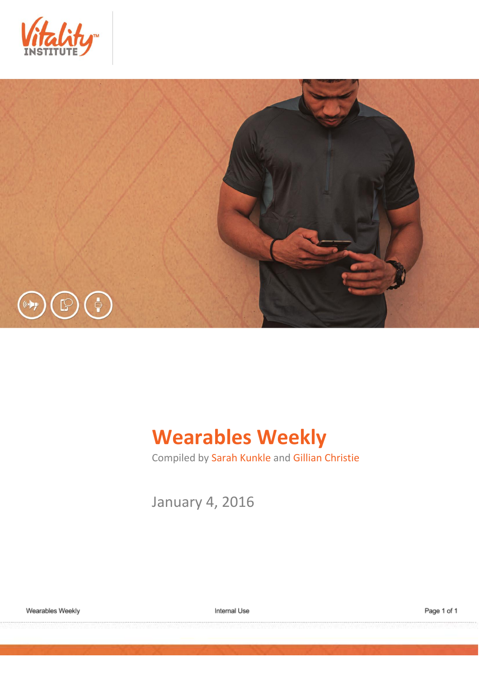



# **Wearables Weekly**

Compiled by Sarah Kunkle and Gillian Christie

January 4, 2016

Internal Use

Page 1 of 1